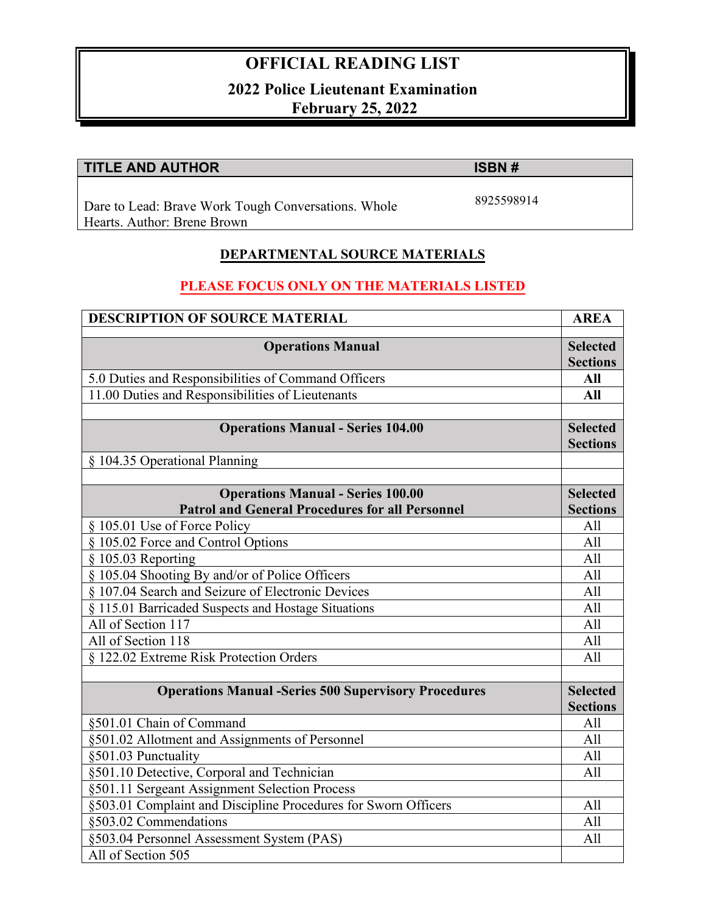# **OFFICIAL READING LIST**

### **2022 Police Lieutenant Examination February 25, 2022**

## **TITLE AND AUTHOR ISBN #**

8925598914

Dare to Lead: Brave Work Tough Conversations. Whole Hearts. Author: Brene Brown

#### **DEPARTMENTAL SOURCE MATERIALS**

### **PLEASE FOCUS ONLY ON THE MATERIALS LISTED**

| <b>DESCRIPTION OF SOURCE MATERIAL</b>                          | <b>AREA</b>                        |
|----------------------------------------------------------------|------------------------------------|
| <b>Operations Manual</b>                                       | <b>Selected</b><br><b>Sections</b> |
| 5.0 Duties and Responsibilities of Command Officers            | All                                |
| 11.00 Duties and Responsibilities of Lieutenants               | <b>All</b>                         |
|                                                                |                                    |
| <b>Operations Manual - Series 104.00</b>                       | <b>Selected</b>                    |
|                                                                | <b>Sections</b>                    |
| § 104.35 Operational Planning                                  |                                    |
|                                                                |                                    |
| <b>Operations Manual - Series 100.00</b>                       | <b>Selected</b>                    |
| <b>Patrol and General Procedures for all Personnel</b>         | <b>Sections</b>                    |
| § 105.01 Use of Force Policy                                   | All                                |
| § 105.02 Force and Control Options                             | A11                                |
| § 105.03 Reporting                                             | All                                |
| § 105.04 Shooting By and/or of Police Officers                 | All                                |
| § 107.04 Search and Seizure of Electronic Devices              | All                                |
| § 115.01 Barricaded Suspects and Hostage Situations            | A11                                |
| All of Section 117                                             | All                                |
| All of Section 118                                             | All                                |
| § 122.02 Extreme Risk Protection Orders                        | All                                |
|                                                                |                                    |
| <b>Operations Manual -Series 500 Supervisory Procedures</b>    | <b>Selected</b><br><b>Sections</b> |
| §501.01 Chain of Command                                       | All                                |
| §501.02 Allotment and Assignments of Personnel                 | All                                |
| §501.03 Punctuality                                            | All                                |
| §501.10 Detective, Corporal and Technician                     | All                                |
| §501.11 Sergeant Assignment Selection Process                  |                                    |
| §503.01 Complaint and Discipline Procedures for Sworn Officers | A11                                |
| §503.02 Commendations                                          | All                                |
| §503.04 Personnel Assessment System (PAS)                      | All                                |
| All of Section 505                                             |                                    |